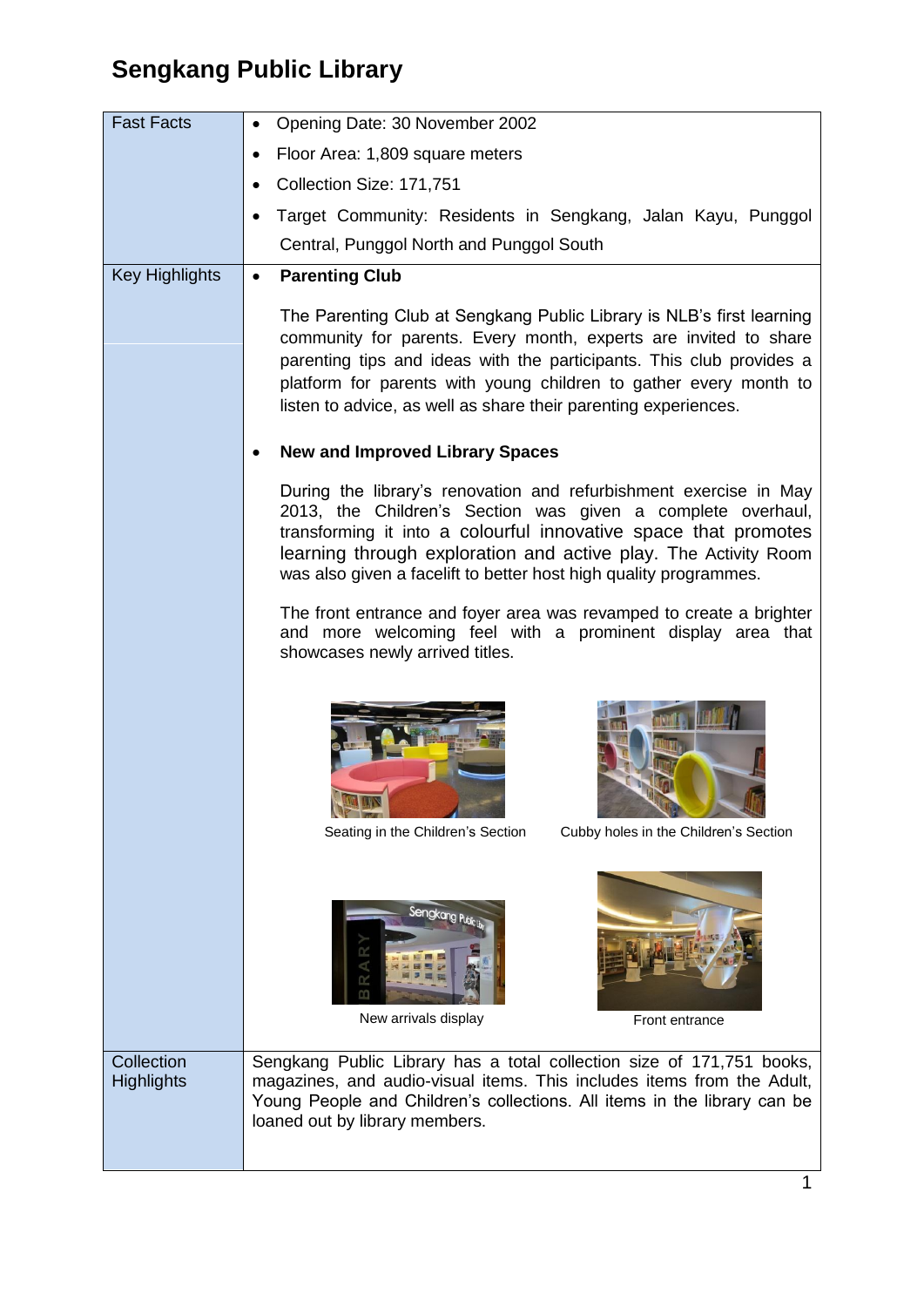## **Sengkang Public Library**

| <b>Fast Facts</b>               | Opening Date: 30 November 2002                                                                                                                                                                                                                                                                                                                            |
|---------------------------------|-----------------------------------------------------------------------------------------------------------------------------------------------------------------------------------------------------------------------------------------------------------------------------------------------------------------------------------------------------------|
|                                 | Floor Area: 1,809 square meters                                                                                                                                                                                                                                                                                                                           |
|                                 | Collection Size: 171,751                                                                                                                                                                                                                                                                                                                                  |
|                                 | Target Community: Residents in Sengkang, Jalan Kayu, Punggol                                                                                                                                                                                                                                                                                              |
|                                 | Central, Punggol North and Punggol South                                                                                                                                                                                                                                                                                                                  |
| <b>Key Highlights</b>           | <b>Parenting Club</b><br>$\bullet$                                                                                                                                                                                                                                                                                                                        |
|                                 | The Parenting Club at Sengkang Public Library is NLB's first learning<br>community for parents. Every month, experts are invited to share<br>parenting tips and ideas with the participants. This club provides a<br>platform for parents with young children to gather every month to<br>listen to advice, as well as share their parenting experiences. |
|                                 | <b>New and Improved Library Spaces</b>                                                                                                                                                                                                                                                                                                                    |
|                                 | During the library's renovation and refurbishment exercise in May<br>2013, the Children's Section was given a complete overhaul,<br>transforming it into a colourful innovative space that promotes<br>learning through exploration and active play. The Activity Room<br>was also given a facelift to better host high quality programmes.               |
|                                 | The front entrance and foyer area was revamped to create a brighter<br>and more welcoming feel with a prominent display area that<br>showcases newly arrived titles.                                                                                                                                                                                      |
|                                 | Cubby holes in the Children's Section<br>Seating in the Children's Section                                                                                                                                                                                                                                                                                |
|                                 | Sengkang Pubic<br>New arrivals display<br>Front entrance                                                                                                                                                                                                                                                                                                  |
| Collection<br><b>Highlights</b> | Sengkang Public Library has a total collection size of 171,751 books,<br>magazines, and audio-visual items. This includes items from the Adult,<br>Young People and Children's collections. All items in the library can be<br>loaned out by library members.                                                                                             |